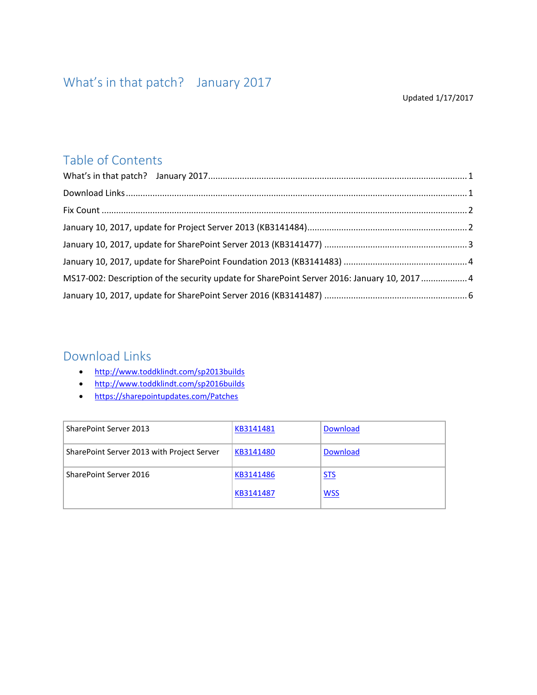#### Updated 1/17/2017

#### <span id="page-0-0"></span>Table of Contents

| MS17-002: Description of the security update for SharePoint Server 2016: January 10, 2017  4 |  |
|----------------------------------------------------------------------------------------------|--|
|                                                                                              |  |

#### <span id="page-0-1"></span>Download Links

- <http://www.toddklindt.com/sp2013builds>
- <http://www.toddklindt.com/sp2016builds>
- <https://sharepointupdates.com/Patches>

| <b>SharePoint Server 2013</b>              | KB3141481 | <b>Download</b> |
|--------------------------------------------|-----------|-----------------|
| SharePoint Server 2013 with Project Server | KB3141480 | <b>Download</b> |
| SharePoint Server 2016                     | KB3141486 | <b>STS</b>      |
|                                            | KB3141487 | <u>WSS</u>      |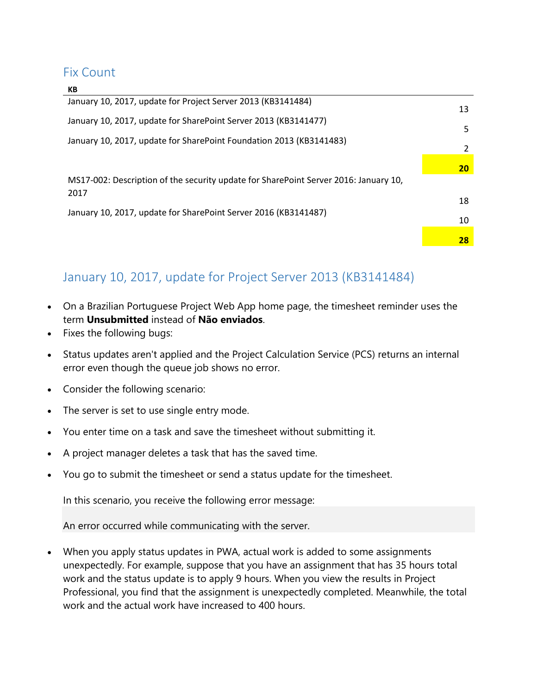#### <span id="page-1-0"></span>Fix Count

 $\mathbf{v}$ 

| יש                                                                                           |    |
|----------------------------------------------------------------------------------------------|----|
| January 10, 2017, update for Project Server 2013 (KB3141484)                                 | 13 |
| January 10, 2017, update for SharePoint Server 2013 (KB3141477)                              | 5  |
| January 10, 2017, update for SharePoint Foundation 2013 (KB3141483)                          |    |
|                                                                                              | 20 |
| MS17-002: Description of the security update for SharePoint Server 2016: January 10,<br>2017 |    |
|                                                                                              | 18 |
| January 10, 2017, update for SharePoint Server 2016 (KB3141487)                              | 10 |
|                                                                                              | 28 |

## <span id="page-1-1"></span>January 10, 2017, update for Project Server 2013 (KB3141484)

- On a Brazilian Portuguese Project Web App home page, the timesheet reminder uses the term **Unsubmitted** instead of **Não enviados**.
- Fixes the following bugs:
- Status updates aren't applied and the Project Calculation Service (PCS) returns an internal error even though the queue job shows no error.
- Consider the following scenario:
- The server is set to use single entry mode.
- You enter time on a task and save the timesheet without submitting it.
- A project manager deletes a task that has the saved time.
- You go to submit the timesheet or send a status update for the timesheet.

In this scenario, you receive the following error message:

An error occurred while communicating with the server.

 When you apply status updates in PWA, actual work is added to some assignments unexpectedly. For example, suppose that you have an assignment that has 35 hours total work and the status update is to apply 9 hours. When you view the results in Project Professional, you find that the assignment is unexpectedly completed. Meanwhile, the total work and the actual work have increased to 400 hours.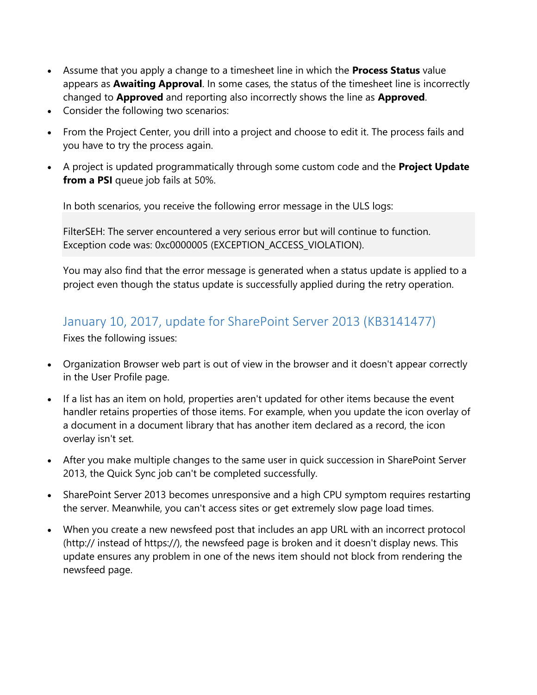- Assume that you apply a change to a timesheet line in which the **Process Status** value appears as **Awaiting Approval**. In some cases, the status of the timesheet line is incorrectly changed to **Approved** and reporting also incorrectly shows the line as **Approved**.
- Consider the following two scenarios:
- From the Project Center, you drill into a project and choose to edit it. The process fails and you have to try the process again.
- A project is updated programmatically through some custom code and the **Project Update from a PSI** queue job fails at 50%.

In both scenarios, you receive the following error message in the ULS logs:

FilterSEH: The server encountered a very serious error but will continue to function. Exception code was: 0xc0000005 (EXCEPTION\_ACCESS\_VIOLATION).

You may also find that the error message is generated when a status update is applied to a project even though the status update is successfully applied during the retry operation.

#### <span id="page-2-0"></span>January 10, 2017, update for SharePoint Server 2013 (KB3141477)

Fixes the following issues:

- Organization Browser web part is out of view in the browser and it doesn't appear correctly in the User Profile page.
- If a list has an item on hold, properties aren't updated for other items because the event handler retains properties of those items. For example, when you update the icon overlay of a document in a document library that has another item declared as a record, the icon overlay isn't set.
- After you make multiple changes to the same user in quick succession in SharePoint Server 2013, the Quick Sync job can't be completed successfully.
- SharePoint Server 2013 becomes unresponsive and a high CPU symptom requires restarting the server. Meanwhile, you can't access sites or get extremely slow page load times.
- When you create a new newsfeed post that includes an app URL with an incorrect protocol (http:// instead of https://), the newsfeed page is broken and it doesn't display news. This update ensures any problem in one of the news item should not block from rendering the newsfeed page.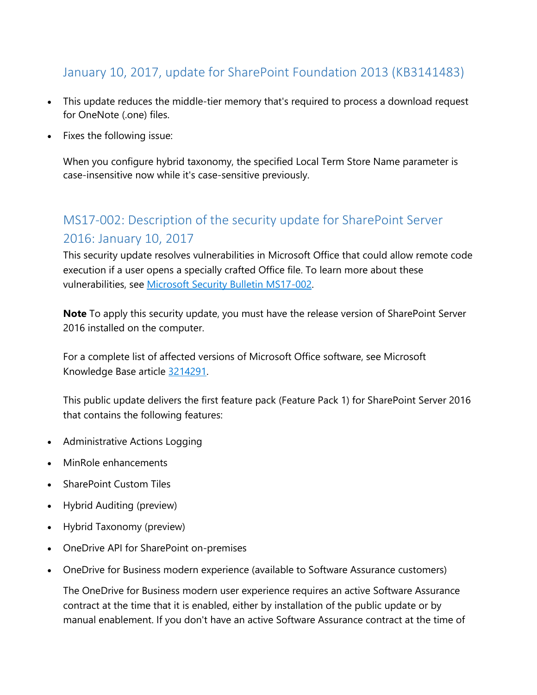## <span id="page-3-0"></span>January 10, 2017, update for SharePoint Foundation 2013 (KB3141483)

- This update reduces the middle-tier memory that's required to process a download request for OneNote (.one) files.
- Fixes the following issue:

When you configure hybrid taxonomy, the specified Local Term Store Name parameter is case-insensitive now while it's case-sensitive previously.

# <span id="page-3-1"></span>MS17-002: Description of the security update for SharePoint Server 2016: January 10, 2017

This security update resolves vulnerabilities in Microsoft Office that could allow remote code execution if a user opens a specially crafted Office file. To learn more about these vulnerabilities, see [Microsoft Security Bulletin MS17-002.](https://technet.microsoft.com/library/security/MS17-002)

**Note** To apply this security update, you must have the release version of SharePoint Server 2016 installed on the computer.

For a complete list of affected versions of Microsoft Office software, see Microsoft Knowledge Base article [3214291.](https://support.microsoft.com/kb/3214291)

This public update delivers the first feature pack (Feature Pack 1) for SharePoint Server 2016 that contains the following features:

- Administrative Actions Logging
- MinRole enhancements
- SharePoint Custom Tiles
- Hybrid Auditing (preview)
- Hybrid Taxonomy (preview)
- OneDrive API for SharePoint on-premises
- OneDrive for Business modern experience (available to Software Assurance customers)

The OneDrive for Business modern user experience requires an active Software Assurance contract at the time that it is enabled, either by installation of the public update or by manual enablement. If you don't have an active Software Assurance contract at the time of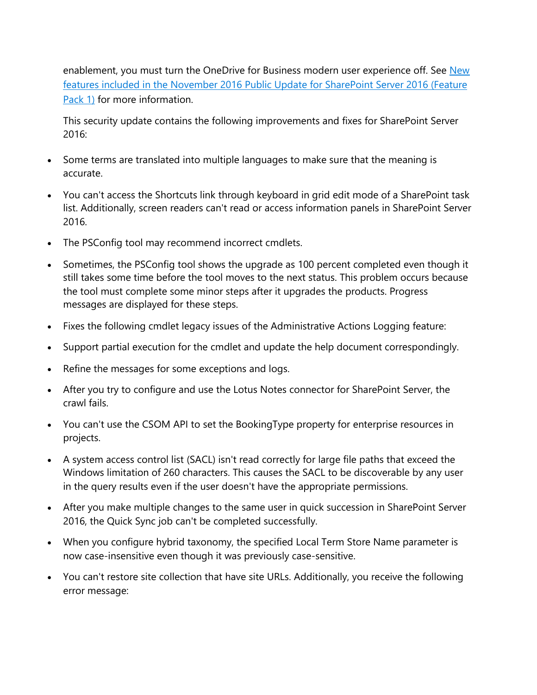enablement, you must turn the OneDrive for Business modern user experience off. See New [features included in the November 2016 Public Update for SharePoint Server 2016 \(Feature](https://go.microsoft.com/fwlink/?linkid=832679)  [Pack 1\)](https://go.microsoft.com/fwlink/?linkid=832679) for more information.

This security update contains the following improvements and fixes for SharePoint Server 2016:

- Some terms are translated into multiple languages to make sure that the meaning is accurate.
- You can't access the Shortcuts link through keyboard in grid edit mode of a SharePoint task list. Additionally, screen readers can't read or access information panels in SharePoint Server 2016.
- The PSConfig tool may recommend incorrect cmdlets.
- Sometimes, the PSConfig tool shows the upgrade as 100 percent completed even though it still takes some time before the tool moves to the next status. This problem occurs because the tool must complete some minor steps after it upgrades the products. Progress messages are displayed for these steps.
- Fixes the following cmdlet legacy issues of the Administrative Actions Logging feature:
- Support partial execution for the cmdlet and update the help document correspondingly.
- Refine the messages for some exceptions and logs.
- After you try to configure and use the Lotus Notes connector for SharePoint Server, the crawl fails.
- You can't use the CSOM API to set the BookingType property for enterprise resources in projects.
- A system access control list (SACL) isn't read correctly for large file paths that exceed the Windows limitation of 260 characters. This causes the SACL to be discoverable by any user in the query results even if the user doesn't have the appropriate permissions.
- After you make multiple changes to the same user in quick succession in SharePoint Server 2016, the Quick Sync job can't be completed successfully.
- When you configure hybrid taxonomy, the specified Local Term Store Name parameter is now case-insensitive even though it was previously case-sensitive.
- You can't restore site collection that have site URLs. Additionally, you receive the following error message: